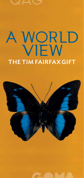# WORLD THE TIM FAIRFAX GIFT